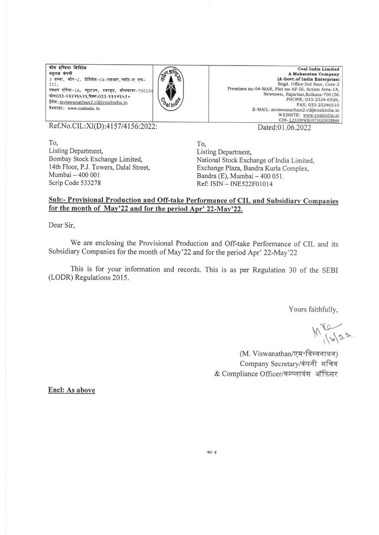कोल इण्डिया लिमिटेड महारत्न कंपनी  $3$  तल्ला, कोर-2, प्रेमिसेस-04-एमआर, प्लॉट-ए एफ-<sup>I</sup>II, एक्शन एरिया-1A, न्यूटाउन, रजरहट, कोलकाता-700156  $m = 033 - 33284435$ ,  $m = 033 - 3328448$ ईमेल: mviswanathan2.cil@coalindia.in वेबसाइट: www.coalindia. In



Coal India Limited<br>A Maharatna Company (A Govt.of India Enterprise) Regd. Office:3rd floor, Core-2 Premises no-04-MAR, Plot no-AF-III, Action Area-1A, Newtown, Rajarhat, Kolkata-700156 PHONE: 033-2324-6526. FAX; 033-23246510 E-MAIL: mviswanathan2.cil@coalindia.in WEBSITE: www.coalindia.in<br>CIN-L23109WB1973G01028844 Dated:0|.06.2022

Ref.No.CIL:XI(D):4157/4156:2022:

To, Listing Department, Bombay Stock Exchange Limited, 14th Floor, P.J. Towers, Dalal Street, Mumbai - 400 001 Scrip Code 533278

To, Listing Departnent, National Stock Exchange of India Limited, Exchange Plaza, Bandra Kurla Complex, Bandra (E), Mumbai - 400 051.

Ref: ISIN - INE522F0l0l4

## Sub:- Provisional Production and Off-take Performance of CIL and Subsidiary Companies for the month of Mav'22 and for the period Aor' 22-Mav'22.

Dear Sir,

We are enclosing the Provisional Production and Off-take Performance of CIL and its Subsidiary Companies for the month of May'22 and for the period Apr' 22-May'22

This is for your information and records. This is as per Regulation 30 of the SEBI (LODR) Regulations 2015.

'!

Yours faithfully,

 $M_{16}^{22}$ 

(M. Viswanathan/एम॰विस्वनाथन) Company Secretary/कंपनी सचिव & Compliance Officer/कम्प्लायंस ऑफिसर

Encl: As above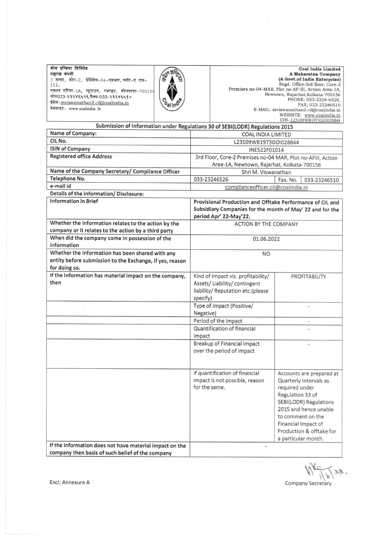| कोल इण्डिया लिमिटेड<br>महारत्न कंपनी<br>3 तल्ला, कोर-2, प्रेमिसेस-04-एमआर,प्लॉट-ए एफ-<br>III,<br>एक्शन एरिया-1A, न्यूटाउन, रजरहट, कोलकाता-700156<br>फोन033-२३२४६५२६,फैक्स-033-२३२४६५१०<br>ईमेल: mviswanathan2.cil@coalindia.in<br>वेबसाइट: www.coalindia. In |                               | <b>Coal India Limited</b><br>A Maharatna Company<br>(A Govt.of India Enterprise)<br>Regd. Office:3rd floor, Core-2<br>Premises no-04-MAR, Plot no-AF-III, Action Area-1A,<br>Newtown, Rajarhat, Kolkata-700156<br>PHONE; 033-2324-6526. |
|--------------------------------------------------------------------------------------------------------------------------------------------------------------------------------------------------------------------------------------------------------------|-------------------------------|-----------------------------------------------------------------------------------------------------------------------------------------------------------------------------------------------------------------------------------------|
|                                                                                                                                                                                                                                                              | $v_{\theta}$ /10 <sup>0</sup> | FAX; 033-23246510<br>E-MAIL: mviswanathan2.cil@coalindia.in<br>WEBSITE: www.coalindia.in<br>CIN-L23109WB1973GOI028844                                                                                                                   |

 $\frac{1}{2}$ 

| Submission of Information under Regulations 30 of SEBI(LODR) Regulations 2015 |                                                             |                               |  |  |
|-------------------------------------------------------------------------------|-------------------------------------------------------------|-------------------------------|--|--|
| Name of Company:                                                              | <b>COAL INDIA LIMITED</b>                                   |                               |  |  |
| CIL No.                                                                       | L23109WB1973GOI028844                                       |                               |  |  |
| <b>ISIN of Company</b>                                                        | INE522F01014                                                |                               |  |  |
| <b>Registered office Address</b>                                              | 3rd Floor, Core-2 Premises no-04 MAR, Plot no-AFIII, Action |                               |  |  |
|                                                                               | Area-1A, Newtown, Rajarhat, Kolkata-700156                  |                               |  |  |
| Name of the Company Secretary/ Compliance Officer                             | Shri M. Viswanathan                                         |                               |  |  |
| Telephone No.                                                                 | 033-23246526                                                | Fax. No.<br>033-23246510      |  |  |
| e-mail id                                                                     | complianceofficer.cil@coalindia.in                          |                               |  |  |
| Details of the information/ Disclosure:                                       |                                                             |                               |  |  |
| <b>Information in Brief</b>                                                   | Provisional Production and Offtake Performance of CIL and   |                               |  |  |
|                                                                               | Subsidiary Companies for the month of May' 22 and for the   |                               |  |  |
|                                                                               | period Apr' 22-May'22.                                      |                               |  |  |
| Whether the information relates to the action by the                          | <b>ACTION BY THE COMPANY</b>                                |                               |  |  |
| company or it relates to the action by a third party                          |                                                             |                               |  |  |
| When did the company come in possession of the                                | 01.06.2022                                                  |                               |  |  |
| information                                                                   |                                                             |                               |  |  |
| Whether the information has been shared with any                              | <b>NO</b>                                                   |                               |  |  |
| entity before submission to the Exchange, if yes, reason                      |                                                             |                               |  |  |
| for doing so.                                                                 |                                                             |                               |  |  |
| If the Information has material impact on the company,                        | Kind of Impact viz. profitability/                          | PROFITABILITY                 |  |  |
| then                                                                          | Assets/Liability/contingent                                 |                               |  |  |
|                                                                               | liability/ Reputation etc.(please                           |                               |  |  |
|                                                                               | specify)                                                    |                               |  |  |
|                                                                               | Type of Impact (Positive/                                   |                               |  |  |
|                                                                               | Negative)                                                   |                               |  |  |
|                                                                               | Period of the impact                                        | $\overline{\phantom{a}}$      |  |  |
|                                                                               | Quantification of financial                                 |                               |  |  |
|                                                                               | impact                                                      |                               |  |  |
|                                                                               | Breakup of Financial impact                                 |                               |  |  |
|                                                                               | over the period of impact                                   |                               |  |  |
|                                                                               |                                                             |                               |  |  |
|                                                                               |                                                             |                               |  |  |
|                                                                               | If quantification of financial                              | Accounts are prepared at      |  |  |
|                                                                               | impact is not possible, reason                              | Quarterly Intervals as        |  |  |
|                                                                               | for the same.                                               | required under                |  |  |
|                                                                               |                                                             | Regulation 33 of              |  |  |
|                                                                               |                                                             | <b>SEBI(LODR) Regulations</b> |  |  |
|                                                                               |                                                             | 2015 and hence unable         |  |  |
|                                                                               |                                                             | to comment on the             |  |  |
|                                                                               |                                                             | Financial Impact of           |  |  |
|                                                                               |                                                             | Production & offtake for      |  |  |
| If the information does not have material impact on the                       |                                                             | a particular month.           |  |  |
| company then basis of such belief of the company                              |                                                             |                               |  |  |
|                                                                               |                                                             |                               |  |  |

 $\mathcal{S}$ p

Company Secretary

Encl: Annexure A